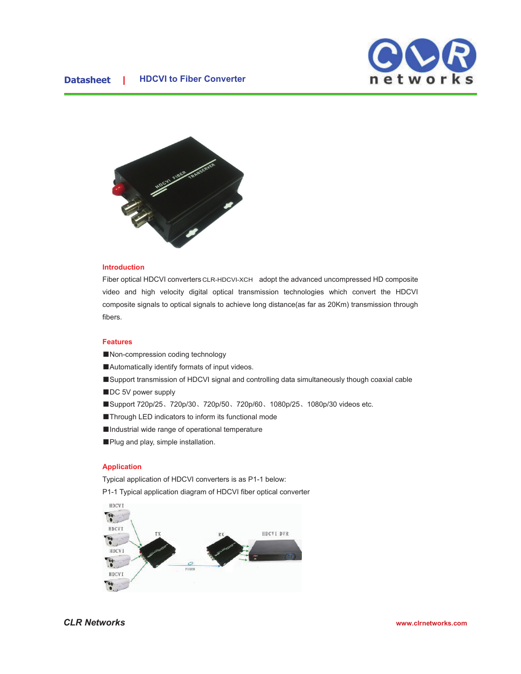### **Data HDCVI to Fiber Converter**





# **Introduction**

Fiber optical HDCVI converters CLR-HDCVI-XCH adopt the advanced uncompressed HD composite video and high velocity digital optical transmission technologies which convert the HDCVI composite signals to optical signals to achieve long distance(as far as 20Km) transmission through fibers.

# **Features**

- ■Non-compression coding technology
- ■Automatically identify formats of input videos.
- ■Support transmission of HDCVI signal and controlling data simultaneously though coaxial cable
- ■DC 5V power supply
- ■Support 720p/25、720p/30、720p/50、720p/60、1080p/25、1080p/30 videos etc.

■Through LED indicators to inform its functional mode

- ■Industrial wide range of operational temperature
- ■Plug and play, simple installation.

### **Application**

Typical application of HDCVI converters is as P1-1 below: P1-1 Typical application diagram of HDCVI fiber optical converter